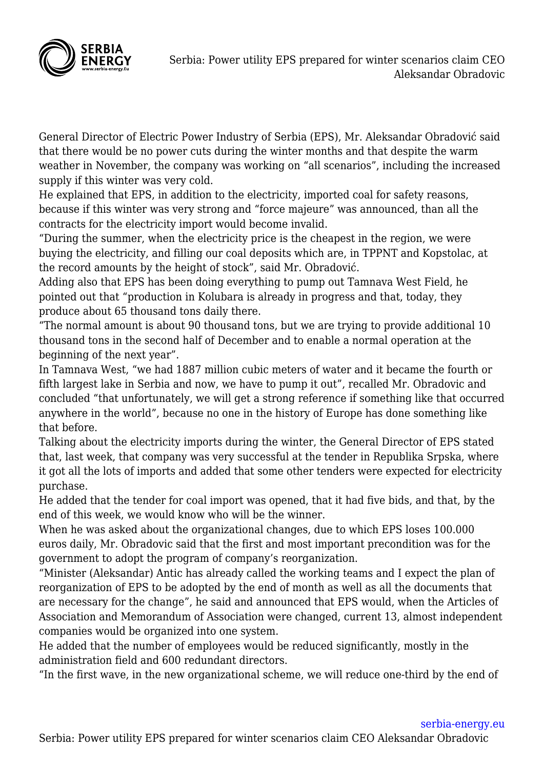

General Director of Electric Power Industry of Serbia (EPS), Mr. Aleksandar Obradović said that there would be no power cuts during the winter months and that despite the warm weather in November, the company was working on "all scenarios", including the increased supply if this winter was very cold.

He explained that EPS, in addition to the electricity, imported coal for safety reasons, because if this winter was very strong and "force majeure" was announced, than all the contracts for the electricity import would become invalid.

"During the summer, when the electricity price is the cheapest in the region, we were buying the electricity, and filling our coal deposits which are, in TPPNT and Kopstolac, at the record amounts by the height of stock", said Mr. Obradović.

Adding also that EPS has been doing everything to pump out Tamnava West Field, he pointed out that "production in Kolubara is already in progress and that, today, they produce about 65 thousand tons daily there.

"The normal amount is about 90 thousand tons, but we are trying to provide additional 10 thousand tons in the second half of December and to enable a normal operation at the beginning of the next year".

In Tamnava West, "we had 1887 million cubic meters of water and it became the fourth or fifth largest lake in Serbia and now, we have to pump it out", recalled Mr. Obradovic and concluded "that unfortunately, we will get a strong reference if something like that occurred anywhere in the world", because no one in the history of Europe has done something like that before.

Talking about the electricity imports during the winter, the General Director of EPS stated that, last week, that company was very successful at the tender in Republika Srpska, where it got all the lots of imports and added that some other tenders were expected for electricity purchase.

He added that the tender for coal import was opened, that it had five bids, and that, by the end of this week, we would know who will be the winner.

When he was asked about the organizational changes, due to which EPS loses 100.000 euros daily, Mr. Obradovic said that the first and most important precondition was for the government to adopt the program of company's reorganization.

"Minister (Aleksandar) Antic has already called the working teams and I expect the plan of reorganization of EPS to be adopted by the end of month as well as all the documents that are necessary for the change", he said and announced that EPS would, when the Articles of Association and Memorandum of Association were changed, current 13, almost independent companies would be organized into one system.

He added that the number of employees would be reduced significantly, mostly in the administration field and 600 redundant directors.

"In the first wave, in the new organizational scheme, we will reduce one-third by the end of